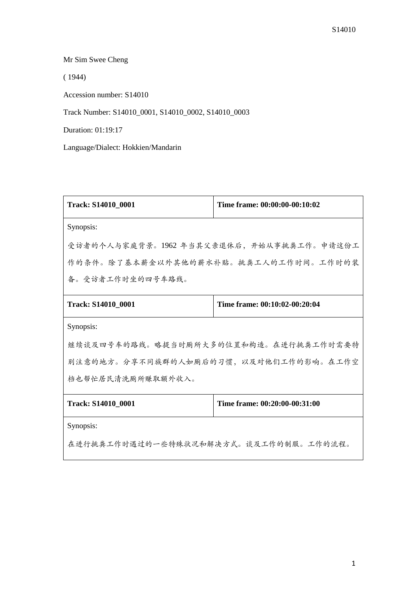Mr Sim Swee Cheng

( 1944)

Accession number: S14010

Track Number: S14010\_0001, S14010\_0002, S14010\_0003

Duration: 01:19:17

Language/Dialect: Hokkien/Mandarin

| Track: S14010_0001                       | Time frame: 00:00:00-00:10:02 |
|------------------------------------------|-------------------------------|
| Synopsis:                                |                               |
| 受访者的个人与家庭背景。1962 年当其父亲退休后,开始从事挑粪工作。申请这份工 |                               |
| 作的条件。除了基本薪金以外其他的薪水补贴。挑粪工人的工作时间。工作时的装     |                               |
| 备。受访者工作时坐的四号车路线。                         |                               |
| Track: S14010_0001                       | Time frame: 00:10:02-00:20:04 |
| Synopsis:                                |                               |
| 继续谈及四号车的路线。略提当时厕所大多的位置和构造。在进行挑粪工作时需要特    |                               |
| 别注意的地方。分享不同族群的人如厕后的习惯,以及对他们工作的影响。在工作空    |                               |
| 档也帮忙居民清洗厕所赚取额外收入。                        |                               |
| Track: S14010_0001                       | Time frame: 00:20:00-00:31:00 |
| Synopsis:                                |                               |
| 在进行挑粪工作时遇过的一些特殊状况和解决方式。谈及工作的制服。工作的流程。    |                               |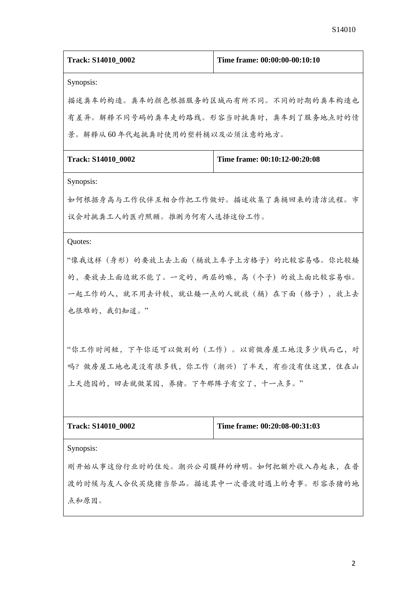| Track: S14010_0002                          | Time frame: 00:00:00-00:10:10 |  |
|---------------------------------------------|-------------------------------|--|
|                                             |                               |  |
| Synopsis:                                   |                               |  |
| 描述粪车的构造。粪车的颜色根据服务的区域而有所不同。不同的时期的粪车构造也       |                               |  |
| 有差异。解释不同号码的粪车走的路线。形容当时挑粪时,粪车到了服务地点时的情       |                               |  |
| 景。解释从60年代起挑粪时使用的塑料桶以及必须注意的地方。               |                               |  |
| Track: S14010_0002                          | Time frame: 00:10:12-00:20:08 |  |
| Synopsis:                                   |                               |  |
| 如何根据身高与工作伙伴互相合作把工作做好。描述收集了粪桶回来的清洁流程。市       |                               |  |
| 议会对挑粪工人的医疗照顾。推测为何有人选择这份工作。                  |                               |  |
| Quotes:                                     |                               |  |
| "像我这样(身形)的要放上去上面(桶放上车子上方格子)的比较容易咯。你比较矮      |                               |  |
| 的,要放去上面边就不能了。一定的,两层的嘛,高(个子)的放上面比较容易啦。       |                               |  |
| 一起工作的人,就不用去计较,就让矮一点的人就放(桶)在下面(格子),放上去       |                               |  |
| 也很难的,我们知道。"                                 |                               |  |
|                                             |                               |  |
| "你工作时间短,下午你还可以做别的(工作)。以前做房屋工地没多少钱而已,对       |                               |  |
| 吗? 做房屋工地也是没有很多钱, 你工作 (潮兴) 了半天, 有些没有住这里, 住在山 |                               |  |
| 上天德园的, 回去就做菜园, 养猪。下午那阵子有空了, 十一点多。"          |                               |  |
|                                             |                               |  |
|                                             |                               |  |
| Track: S14010_0002                          | Time frame: 00:20:08-00:31:03 |  |
| Synopsis:                                   |                               |  |
| 刚开始从事这份行业时的住处。潮兴公司膜拜的神明。如何把额外收入存起来,在普       |                               |  |
| 渡的时候与友人合伙买烧猪当祭品。描述其中一次普渡时遇上的奇事。形容杀猪的地       |                               |  |

点和原因。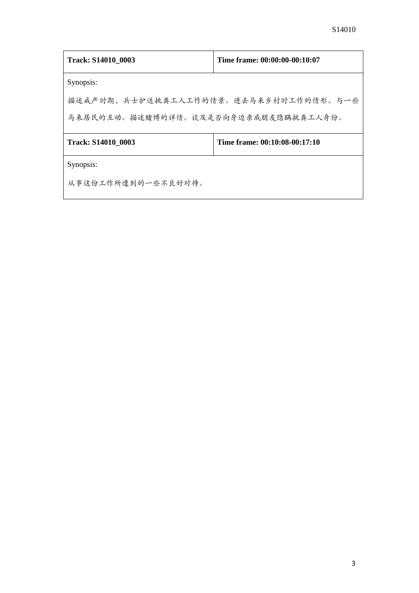| <b>Track: S14010 0003</b>             | Time frame: 00:00:00-00:10:07 |  |
|---------------------------------------|-------------------------------|--|
| Synopsis:                             |                               |  |
| 描述戒严时期,兵士护送挑粪工人工作的情景。进去马来乡村时工作的情形。与一些 |                               |  |
| 马来居民的互动。描述赌博的详情。谈及是否向身边亲戚朋友隐瞒挑粪工人身份。  |                               |  |
| <b>Track: S14010 0003</b>             | Time frame: 00:10:08-00:17:10 |  |
| Synopsis:                             |                               |  |
| 从事这份工作所遭到的一些不良好对待。                    |                               |  |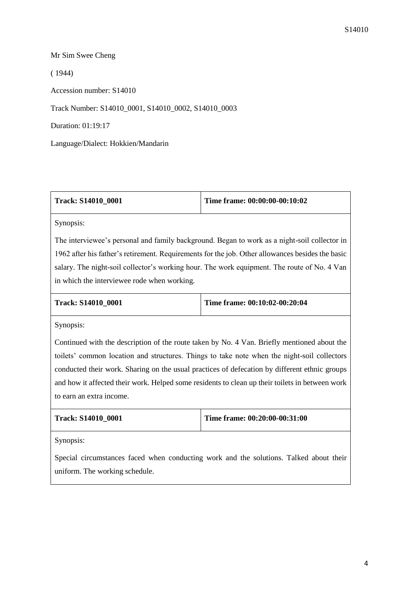## Mr Sim Swee Cheng

( 1944)

Accession number: S14010

Track Number: S14010\_0001, S14010\_0002, S14010\_0003

Duration: 01:19:17

Language/Dialect: Hokkien/Mandarin

| Track: S14010 0001 | Time frame: 00:00:00-00:10:02 |
|--------------------|-------------------------------|
|                    |                               |

Synopsis:

The interviewee's personal and family background. Began to work as a night-soil collector in 1962 after his father's retirement. Requirements for the job. Other allowances besides the basic salary. The night-soil collector's working hour. The work equipment. The route of No. 4 Van in which the interviewee rode when working.

| Track: S14010 0001 | Time frame: 00:10:02-00:20:04 |
|--------------------|-------------------------------|
|                    |                               |

Synopsis:

Continued with the description of the route taken by No. 4 Van. Briefly mentioned about the toilets' common location and structures. Things to take note when the night-soil collectors conducted their work. Sharing on the usual practices of defecation by different ethnic groups and how it affected their work. Helped some residents to clean up their toilets in between work to earn an extra income.

| <b>Track: S14010 0001</b> | Time frame: 00:20:00-00:31:00 |
|---------------------------|-------------------------------|
|                           |                               |

Synopsis:

Special circumstances faced when conducting work and the solutions. Talked about their uniform. The working schedule.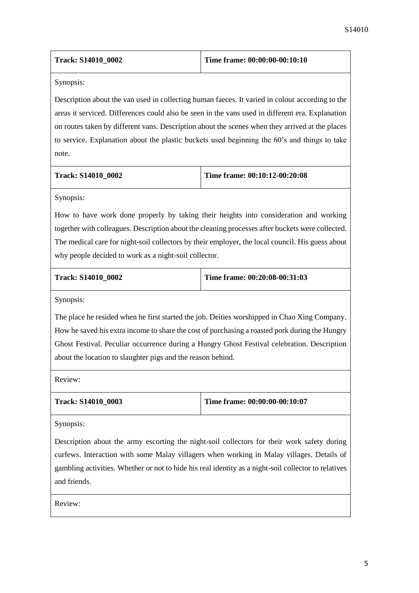| <b>Track: S14010 0002</b> | Time frame: 00:00:00-00:10:10 |
|---------------------------|-------------------------------|
|---------------------------|-------------------------------|

Synopsis:

Description about the van used in collecting human faeces. It varied in colour according to the areas it serviced. Differences could also be seen in the vans used in different era. Explanation on routes taken by different vans. Description about the scenes when they arrived at the places to service. Explanation about the plastic buckets used beginning the 60's and things to take note.

| <b>Track: S14010 0002</b> | Time frame: $00:10:12-00:20:08$ |
|---------------------------|---------------------------------|
|---------------------------|---------------------------------|

Synopsis:

How to have work done properly by taking their heights into consideration and working together with colleagues. Description about the cleaning processes after buckets were collected. The medical care for night-soil collectors by their employer, the local council. His guess about why people decided to work as a night-soil collector.

**Track: S14010\_0002 Time frame: 00:20:08-00:31:03**

Synopsis:

The place he resided when he first started the job. Deities worshipped in Chao Xing Company. How he saved his extra income to share the cost of purchasing a roasted pork during the Hungry Ghost Festival. Peculiar occurrence during a Hungry Ghost Festival celebration. Description about the location to slaughter pigs and the reason behind.

Review:

|  | <b>Track: S14010 0003</b> |  |
|--|---------------------------|--|
|--|---------------------------|--|

**Time frame: 00:00:00-00:10:07** 

Synopsis:

Description about the army escorting the night-soil collectors for their work safety during curfews. Interaction with some Malay villagers when working in Malay villages. Details of gambling activities. Whether or not to hide his real identity as a night-soil collector to relatives and friends.

Review: